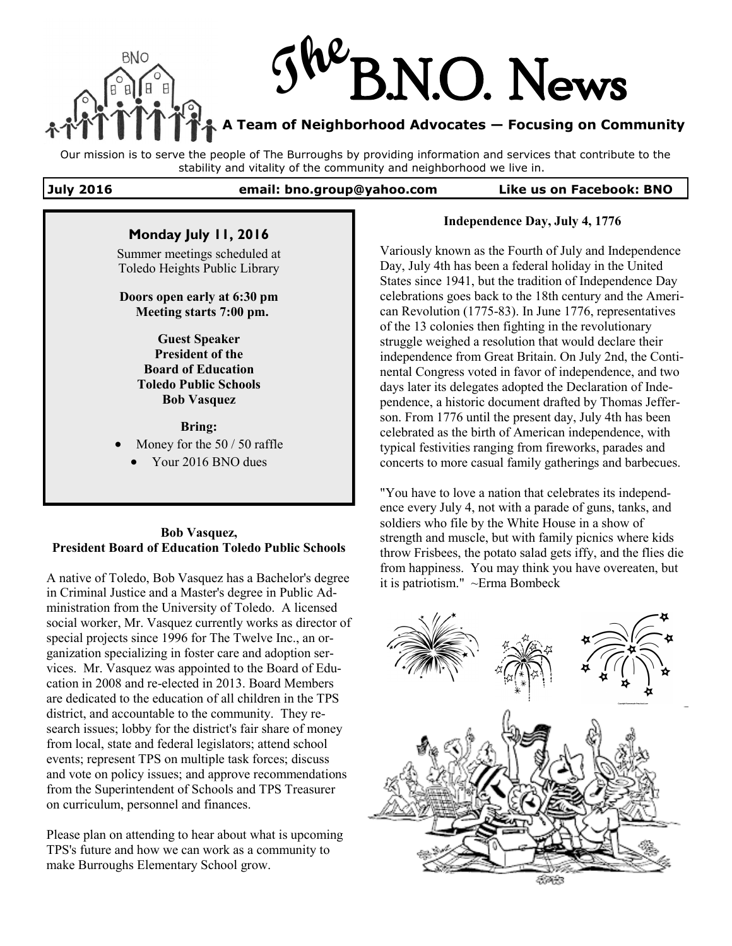

Our mission is to serve the people of The Burroughs by providing information and services that contribute to the stability and vitality of the community and neighborhood we live in.

**July 2016 email: bno.group@yahoo.com Like us on Facebook: BNO**

# **Monday July 11, 2016**

Summer meetings scheduled at Toledo Heights Public Library

**Doors open early at 6:30 pm Meeting starts 7:00 pm.**

> **Guest Speaker President of the Board of Education Toledo Public Schools Bob Vasquez**

> > **Bring:**

Money for the 50 / 50 raffle

Your 2016 BNO dues

#### **Bob Vasquez, President Board of Education Toledo Public Schools**

A native of Toledo, Bob Vasquez has a Bachelor's degree in Criminal Justice and a Master's degree in Public Administration from the University of Toledo. A licensed social worker, Mr. Vasquez currently works as director of special projects since 1996 for The Twelve Inc., an organization specializing in foster care and adoption services. Mr. Vasquez was appointed to the Board of Education in 2008 and re-elected in 2013. Board Members are dedicated to the education of all children in the TPS district, and accountable to the community. They research issues; lobby for the district's fair share of money from local, state and federal legislators; attend school events; represent TPS on multiple task forces; discuss and vote on policy issues; and approve recommendations from the Superintendent of Schools and TPS Treasurer on curriculum, personnel and finances.

Please plan on attending to hear about what is upcoming TPS's future and how we can work as a community to make Burroughs Elementary School grow.

#### **Independence Day, July 4, 1776**

Variously known as the Fourth of July and Independence Day, July 4th has been a federal holiday in the United States since 1941, but the tradition of Independence Day celebrations goes back to the 18th century and the American Revolution (1775-83). In June 1776, representatives of the 13 colonies then fighting in the revolutionary struggle weighed a resolution that would declare their independence from Great Britain. On July 2nd, the Continental Congress voted in favor of independence, and two days later its delegates adopted the Declaration of Independence, a historic document drafted by Thomas Jefferson. From 1776 until the present day, July 4th has been celebrated as the birth of American independence, with typical festivities ranging from fireworks, parades and concerts to more casual family gatherings and barbecues.

"You have to love a nation that celebrates its independence every July 4, not with a parade of guns, tanks, and soldiers who file by the White House in a show of strength and muscle, but with family picnics where kids throw Frisbees, the potato salad gets iffy, and the flies die from happiness. You may think you have overeaten, but it is patriotism." ~Erma Bombeck